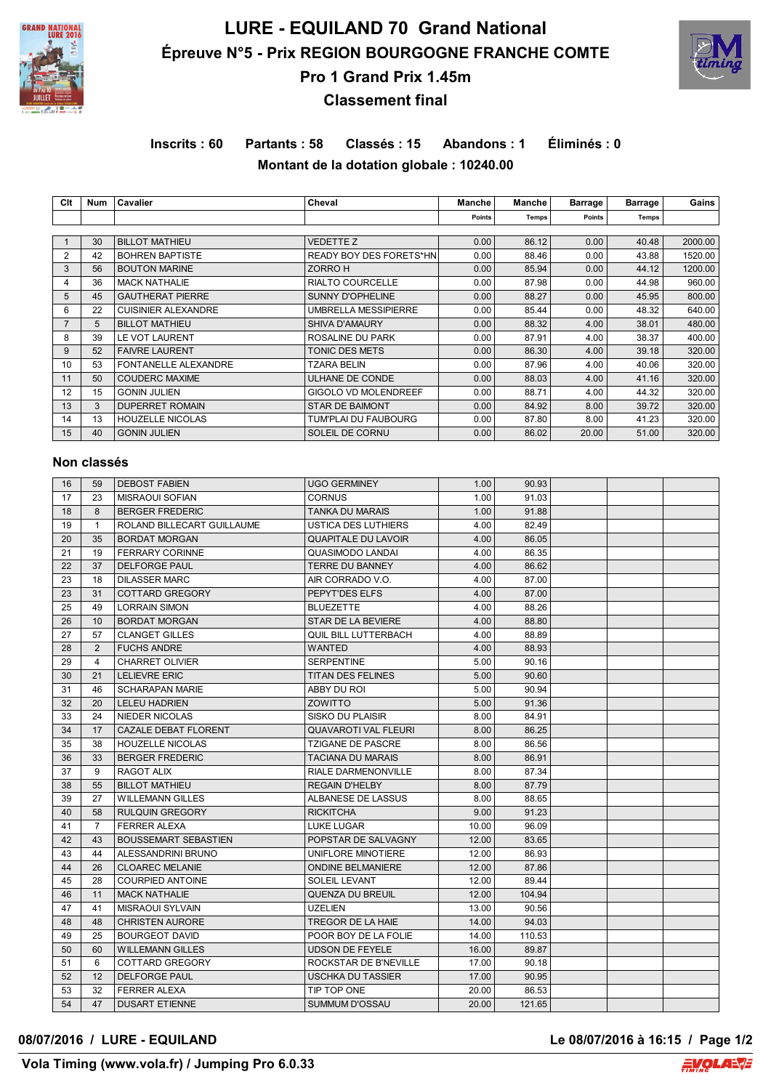

# **LURE - EQUILAND 70 Grand National Épreuve N°5 - Prix REGION BOURGOGNE FRANCHE COMTE Pro 1 Grand Prix 1.45m**



# **Classement final**

# **Inscrits : 60 Partants : 58 Classés : 15 Abandons : 1 Éliminés : 0 Montant de la dotation globale : 10240.00**

| Clt | Num | Cavalier                   | Cheval                      | Manche        | Manche | <b>Barrage</b> | <b>Barrage</b> | Gains   |
|-----|-----|----------------------------|-----------------------------|---------------|--------|----------------|----------------|---------|
|     |     |                            |                             | <b>Points</b> | Temps  | Points         | Temps          |         |
|     |     |                            |                             |               |        |                |                |         |
|     | 30  | <b>BILLOT MATHIEU</b>      | <b>VEDETTE Z</b>            | 0.00          | 86.12  | 0.00           | 40.48          | 2000.00 |
| 2   | 42  | <b>BOHREN BAPTISTE</b>     | READY BOY DES FORETS*HN     | 0.00          | 88.46  | 0.00           | 43.88          | 1520.00 |
| 3   | 56  | <b>BOUTON MARINE</b>       | ZORRO H                     | 0.00          | 85.94  | 0.00           | 44.12          | 1200.00 |
| 4   | 36  | <b>MACK NATHALIE</b>       | <b>RIALTO COURCELLE</b>     | 0.00          | 87.98  | 0.00           | 44.98          | 960.00  |
| 5   | 45  | <b>GAUTHERAT PIERRE</b>    | SUNNY D'OPHELINE            | 0.00          | 88.27  | 0.00           | 45.95          | 800.00  |
| 6   | 22  | <b>CUISINIER ALEXANDRE</b> | <b>UMBRELLA MESSIPIERRE</b> | 0.00          | 85.44  | 0.00           | 48.32          | 640.00  |
|     | 5   | <b>BILLOT MATHIEU</b>      | <b>SHIVA D'AMAURY</b>       | 0.00          | 88.32  | 4.00           | 38.01          | 480.00  |
| 8   | 39  | LE VOT LAURENT             | ROSALINE DU PARK            | 0.00          | 87.91  | 4.00           | 38.37          | 400.00  |
| 9   | 52  | <b>FAIVRE LAURENT</b>      | <b>TONIC DES METS</b>       | 0.00          | 86.30  | 4.00           | 39.18          | 320.00  |
| 10  | 53  | FONTANELLE ALEXANDRE       | <b>TZARA BELIN</b>          | 0.00          | 87.96  | 4.00           | 40.06          | 320.00  |
| 11  | 50  | <b>COUDERC MAXIME</b>      | ULHANE DE CONDE             | 0.00          | 88.03  | 4.00           | 41.16          | 320.00  |
| 12  | 15  | <b>GONIN JULIEN</b>        | <b>GIGOLO VD MOLENDREEF</b> | 0.00          | 88.71  | 4.00           | 44.32          | 320.00  |
| 13  | 3   | <b>DUPERRET ROMAIN</b>     | <b>STAR DE BAIMONT</b>      | 0.00          | 84.92  | 8.00           | 39.72          | 320.00  |
| 14  | 13  | <b>HOUZELLE NICOLAS</b>    | TUM'PLAI DU FAUBOURG        | 0.00          | 87.80  | 8.00           | 41.23          | 320.00  |
| 15  | 40  | <b>GONIN JULIEN</b>        | SOLEIL DE CORNU             | 0.00          | 86.02  | 20.00          | 51.00          | 320.00  |

### **Non classés**

| 16 | 59             | <b>DEBOST FABIEN</b>        | <b>UGO GERMINEY</b>         | 1.00  | 90.93  |  |  |
|----|----------------|-----------------------------|-----------------------------|-------|--------|--|--|
| 17 | 23             | <b>MISRAOUI SOFIAN</b>      | <b>CORNUS</b>               | 1.00  | 91.03  |  |  |
| 18 | 8              | <b>BERGER FREDERIC</b>      | <b>TANKA DU MARAIS</b>      | 1.00  | 91.88  |  |  |
| 19 | $\mathbf{1}$   | ROLAND BILLECART GUILLAUME  | <b>USTICA DES LUTHIERS</b>  | 4.00  | 82.49  |  |  |
| 20 | 35             | <b>BORDAT MORGAN</b>        | <b>QUAPITALE DU LAVOIR</b>  | 4.00  | 86.05  |  |  |
| 21 | 19             | <b>FERRARY CORINNE</b>      | QUASIMODO LANDAI            | 4.00  | 86.35  |  |  |
| 22 | 37             | <b>DELFORGE PAUL</b>        | TERRE DU BANNEY             | 4.00  | 86.62  |  |  |
| 23 | 18             | <b>DILASSER MARC</b>        | AIR CORRADO V.O.            | 4.00  | 87.00  |  |  |
| 23 | 31             | COTTARD GREGORY             | PEPYT'DES ELFS              | 4.00  | 87.00  |  |  |
| 25 | 49             | <b>LORRAIN SIMON</b>        | <b>BLUEZETTE</b>            | 4.00  | 88.26  |  |  |
| 26 | 10             | <b>BORDAT MORGAN</b>        | <b>STAR DE LA BEVIERE</b>   | 4.00  | 88.80  |  |  |
| 27 | 57             | <b>CLANGET GILLES</b>       | QUIL BILL LUTTERBACH        | 4.00  | 88.89  |  |  |
| 28 | 2              | <b>FUCHS ANDRE</b>          | <b>WANTED</b>               | 4.00  | 88.93  |  |  |
| 29 | 4              | <b>CHARRET OLIVIER</b>      | <b>SERPENTINE</b>           | 5.00  | 90.16  |  |  |
| 30 | 21             | <b>LELIEVRE ERIC</b>        | <b>TITAN DES FELINES</b>    | 5.00  | 90.60  |  |  |
| 31 | 46             | <b>SCHARAPAN MARIE</b>      | ABBY DU ROI                 | 5.00  | 90.94  |  |  |
| 32 | 20             | <b>LELEU HADRIEN</b>        | ZOWITTO                     | 5.00  | 91.36  |  |  |
| 33 | 24             | NIEDER NICOLAS              | SISKO DU PLAISIR            | 8.00  | 84.91  |  |  |
| 34 | 17             | CAZALE DEBAT FLORENT        | <b>QUAVAROTI VAL FLEURI</b> | 8.00  | 86.25  |  |  |
| 35 | 38             | <b>HOUZELLE NICOLAS</b>     | <b>TZIGANE DE PASCRE</b>    | 8.00  | 86.56  |  |  |
| 36 | 33             | <b>BERGER FREDERIC</b>      | <b>TACIANA DU MARAIS</b>    | 8.00  | 86.91  |  |  |
| 37 | 9              | RAGOT ALIX                  | <b>RIALE DARMENONVILLE</b>  | 8.00  | 87.34  |  |  |
| 38 | 55             | <b>BILLOT MATHIEU</b>       | <b>REGAIN D'HELBY</b>       | 8.00  | 87.79  |  |  |
| 39 | 27             | <b>WILLEMANN GILLES</b>     | ALBANESE DE LASSUS          | 8.00  | 88.65  |  |  |
| 40 | 58             | <b>RULQUIN GREGORY</b>      | <b>RICKITCHA</b>            | 9.00  | 91.23  |  |  |
| 41 | $\overline{7}$ | <b>FERRER ALEXA</b>         | <b>LUKE LUGAR</b>           | 10.00 | 96.09  |  |  |
| 42 | 43             | <b>BOUSSEMART SEBASTIEN</b> | POPSTAR DE SALVAGNY         | 12.00 | 83.65  |  |  |
| 43 | 44             | ALESSANDRINI BRUNO          | UNIFLORE MINOTIERE          | 12.00 | 86.93  |  |  |
| 44 | 26             | <b>CLOAREC MELANIE</b>      | <b>ONDINE BELMANIERE</b>    | 12.00 | 87.86  |  |  |
| 45 | 28             | <b>COURPIED ANTOINE</b>     | SOLEIL LEVANT               | 12.00 | 89.44  |  |  |
| 46 | 11             | <b>MACK NATHALIE</b>        | <b>QUENZA DU BREUIL</b>     | 12.00 | 104.94 |  |  |
| 47 | 41             | <b>MISRAOUI SYLVAIN</b>     | <b>UZELIEN</b>              | 13.00 | 90.56  |  |  |
| 48 | 48             | <b>CHRISTEN AURORE</b>      | <b>TREGOR DE LA HAIE</b>    | 14.00 | 94.03  |  |  |
| 49 | 25             | <b>BOURGEOT DAVID</b>       | POOR BOY DE LA FOLIE        | 14.00 | 110.53 |  |  |
| 50 | 60             | <b>WILLEMANN GILLES</b>     | <b>UDSON DE FEYELE</b>      | 16.00 | 89.87  |  |  |
| 51 | 6              | <b>COTTARD GREGORY</b>      | ROCKSTAR DE B'NEVILLE       | 17.00 | 90.18  |  |  |
| 52 | 12             | <b>DELFORGE PAUL</b>        | <b>USCHKA DU TASSIER</b>    | 17.00 | 90.95  |  |  |
| 53 | 32             | <b>FERRER ALEXA</b>         | TIP TOP ONE                 | 20.00 | 86.53  |  |  |
| 54 | 47             | <b>DUSART ETIENNE</b>       | SUMMUM D'OSSAU              | 20.00 | 121.65 |  |  |

### **08/07/2016 / LURE - EQUILAND Le 08/07/2016 à 16:15 / Page 1/2**